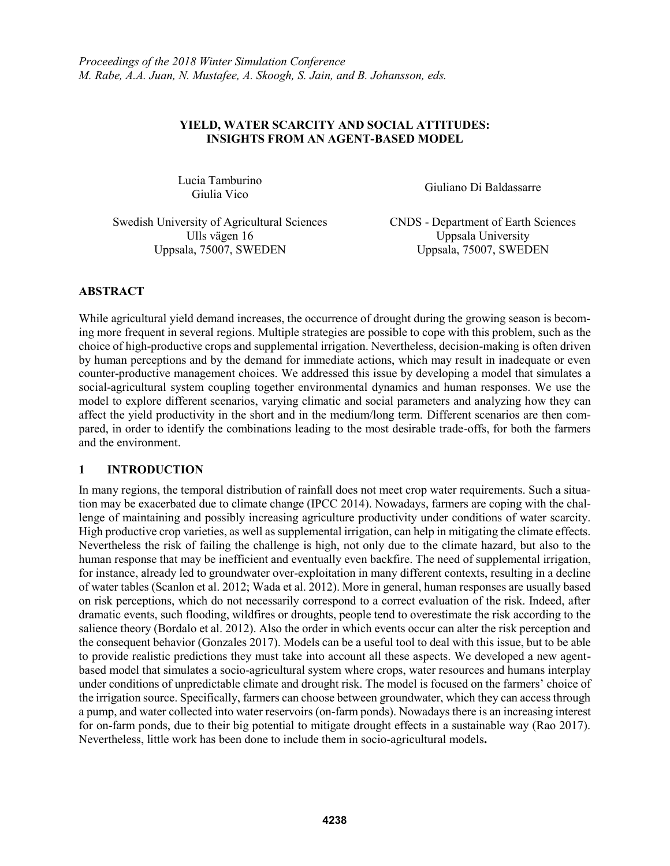## **YIELD, WATER SCARCITY AND SOCIAL ATTITUDES: INSIGHTS FROM AN AGENT-BASED MODEL**

Lucia Tamburino

Giulia Vico Giuliano Di Baldassarre

Swedish University of Agricultural Sciences CNDS - Department of Earth Sciences Ulls vägen 16 Uppsala University Uppsala, 75007, SWEDEN Uppsala, 75007, SWEDEN

# **ABSTRACT**

While agricultural yield demand increases, the occurrence of drought during the growing season is becoming more frequent in several regions. Multiple strategies are possible to cope with this problem, such as the choice of high-productive crops and supplemental irrigation. Nevertheless, decision-making is often driven by human perceptions and by the demand for immediate actions, which may result in inadequate or even counter-productive management choices. We addressed this issue by developing a model that simulates a social-agricultural system coupling together environmental dynamics and human responses. We use the model to explore different scenarios, varying climatic and social parameters and analyzing how they can affect the yield productivity in the short and in the medium/long term. Different scenarios are then compared, in order to identify the combinations leading to the most desirable trade-offs, for both the farmers and the environment.

# **1 INTRODUCTION**

In many regions, the temporal distribution of rainfall does not meet crop water requirements. Such a situation may be exacerbated due to climate change (IPCC 2014). Nowadays, farmers are coping with the challenge of maintaining and possibly increasing agriculture productivity under conditions of water scarcity. High productive crop varieties, as well as supplemental irrigation, can help in mitigating the climate effects. Nevertheless the risk of failing the challenge is high, not only due to the climate hazard, but also to the human response that may be inefficient and eventually even backfire. The need of supplemental irrigation, for instance, already led to groundwater over-exploitation in many different contexts, resulting in a decline of water tables (Scanlon et al. 2012; Wada et al. 2012). More in general, human responses are usually based on risk perceptions, which do not necessarily correspond to a correct evaluation of the risk. Indeed, after dramatic events, such flooding, wildfires or droughts, people tend to overestimate the risk according to the salience theory (Bordalo et al. 2012). Also the order in which events occur can alter the risk perception and the consequent behavior (Gonzales 2017). Models can be a useful tool to deal with this issue, but to be able to provide realistic predictions they must take into account all these aspects. We developed a new agentbased model that simulates a socio-agricultural system where crops, water resources and humans interplay under conditions of unpredictable climate and drought risk. The model is focused on the farmers' choice of the irrigation source. Specifically, farmers can choose between groundwater, which they can access through a pump, and water collected into water reservoirs (on-farm ponds). Nowadays there is an increasing interest for on-farm ponds, due to their big potential to mitigate drought effects in a sustainable way (Rao 2017). Nevertheless, little work has been done to include them in socio-agricultural models**.**